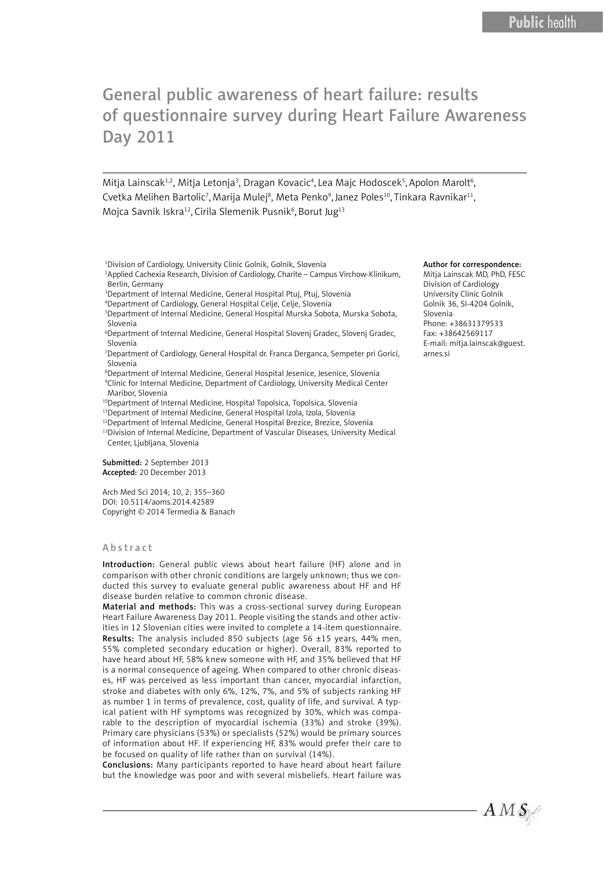# General public awareness of heart failure: results of questionnaire survey during Heart Failure Awareness Day 2011

Mitja Lainscak<sup>1,2</sup>, Mitja Letonja<sup>3</sup>, Dragan Kovacic<sup>4</sup>, Lea Majc Hodoscek<sup>5</sup>, Apolon Marolt<sup>6</sup>, Cvetka Melihen Bartolic<sup>7</sup>, Marija Mulej<sup>8</sup>, Meta Penko<sup>9</sup>, Janez Poles<sup>10</sup>, Tinkara Ravnikar<sup>11</sup>, Mojca Savnik Iskra<sup>12</sup>, Cirila Slemenik Pusnik<sup>6</sup>, Borut Jug<sup>13</sup>

1 Division of Cardiology, University Clinic Golnik, Golnik, Slovenia

2 Applied Cachexia Research, Division of Cardiology, Charite – Campus Virchow-Klinikum, Berlin, Germany

3 Department of Internal Medicine, General Hospital Ptuj, Ptuj, Slovenia

4 Department of Cardiology, General Hospital Celje, Celje, Slovenia

5 Department of Internal Medicine, General Hospital Murska Sobota, Murska Sobota, Slovenia

6 Department of Internal Medicine, General Hospital Slovenj Gradec, Slovenj Gradec, Slovenia

7 Department of Cardiology, General Hospital dr. Franca Derganca, Sempeter pri Gorici, Slovenia

8 Department of Internal Medicine, General Hospital Jesenice, Jesenice, Slovenia 9 Clinic for Internal Medicine, Department of Cardiology, University Medical Center Maribor, Slovenia

10Department of Internal Medicine, Hospital Topolsica, Topolsica, Slovenia

<sup>11</sup>Department of Internal Medicine, General Hospital Izola, Izola, Slovenia

<sup>12</sup>Department of Internal Medicine, General Hospital Brezice, Brezice, Slovenia

13Division of Internal Medicine, Department of Vascular Diseases, University Medical Center, Ljubljana, Slovenia

Submitted: 2 September 2013 Accepted: 20 December 2013

Arch Med Sci 2014; 10, 2: 355–360 DOI: 10.5114/aoms.2014.42589 Copyright © 2014 Termedia & Banach

# Abstract

Introduction: General public views about heart failure (HF) alone and in comparison with other chronic conditions are largely unknown; thus we conducted this survey to evaluate general public awareness about HF and HF disease burden relative to common chronic disease.

Material and methods: This was a cross-sectional survey during European Heart Failure Awareness Day 2011. People visiting the stands and other activities in 12 Slovenian cities were invited to complete a 14-item questionnaire. Results: The analysis included 850 subjects (age 56 ±15 years, 44% men, 55% completed secondary education or higher). Overall, 83% reported to have heard about HF, 58% knew someone with HF, and 35% believed that HF is a normal consequence of ageing. When compared to other chronic diseases, HF was perceived as less important than cancer, myocardial infarction, stroke and diabetes with only 6%, 12%, 7%, and 5% of subjects ranking HF as number 1 in terms of prevalence, cost, quality of life, and survival. A typical patient with HF symptoms was recognized by 30%, which was comparable to the description of myocardial ischemia (33%) and stroke (39%). Primary care physicians (53%) or specialists (52%) would be primary sources of information about HF. If experiencing HF, 83% would prefer their care to be focused on quality of life rather than on survival (14%).

Conclusions: Many participants reported to have heard about heart failure but the knowledge was poor and with several misbeliefs. Heart failure was

#### Author for correspondence:

Mitja Lainscak MD, PhD, FESC Division of Cardiology University Clinic Golnik Golnik 36, SI-4204 Golnik, Slovenia Phone: +38631379533 Fax: +38642569117 E-mail: mitja.lainscak@guest. arnes.si

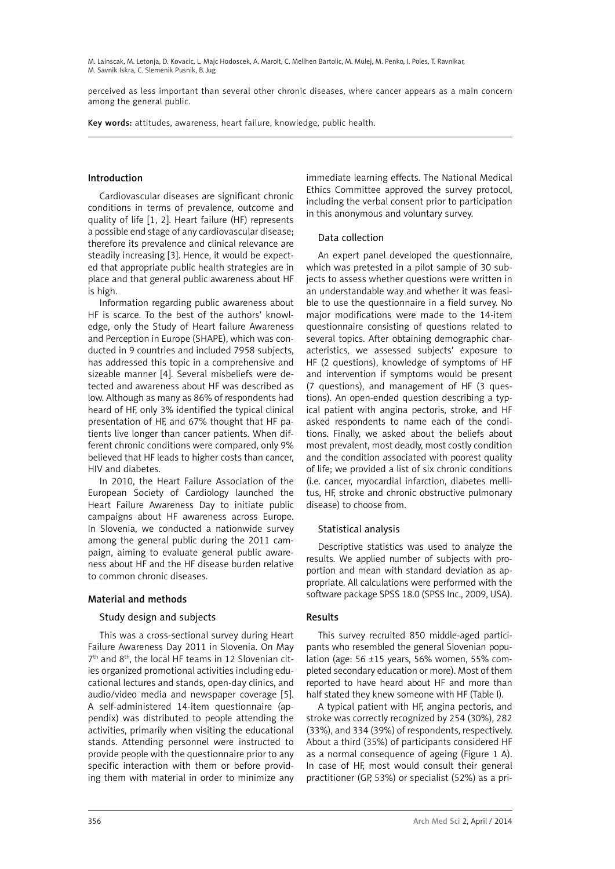M. Lainscak, M. Letonja, D. Kovacic, L. Majc Hodoscek, A. Marolt, C. Melihen Bartolic, M. Mulej, M. Penko, J. Poles, T. Ravnikar, M. Savnik Iskra, C. Slemenik Pusnik, B. Jug

perceived as less important than several other chronic diseases, where cancer appears as a main concern among the general public.

Key words: attitudes, awareness, heart failure, knowledge, public health.

# Introduction

Cardiovascular diseases are significant chronic conditions in terms of prevalence, outcome and quality of life [1, 2]. Heart failure (HF) represents a possible end stage of any cardiovascular disease; therefore its prevalence and clinical relevance are steadily increasing [3]. Hence, it would be expected that appropriate public health strategies are in place and that general public awareness about HF is high.

Information regarding public awareness about HF is scarce. To the best of the authors' knowledge, only the Study of Heart failure Awareness and Perception in Europe (SHAPE), which was conducted in 9 countries and included 7958 subjects, has addressed this topic in a comprehensive and sizeable manner [4]. Several misbeliefs were detected and awareness about HF was described as low. Although as many as 86% of respondents had heard of HF, only 3% identified the typical clinical presentation of HF, and 67% thought that HF patients live longer than cancer patients. When different chronic conditions were compared, only 9% believed that HF leads to higher costs than cancer, HIV and diabetes.

In 2010, the Heart Failure Association of the European Society of Cardiology launched the Heart Failure Awareness Day to initiate public campaigns about HF awareness across Europe. In Slovenia, we conducted a nationwide survey among the general public during the 2011 campaign, aiming to evaluate general public awareness about HF and the HF disease burden relative to common chronic diseases.

# Material and methods

#### Study design and subjects

This was a cross-sectional survey during Heart Failure Awareness Day 2011 in Slovenia. On May 7<sup>th</sup> and 8<sup>th</sup>, the local HF teams in 12 Slovenian cities organized promotional activities including educational lectures and stands, open-day clinics, and audio/video media and newspaper coverage [5]. A self-administered 14-item questionnaire (appendix) was distributed to people attending the activities, primarily when visiting the educational stands. Attending personnel were instructed to provide people with the questionnaire prior to any specific interaction with them or before providing them with material in order to minimize any immediate learning effects. The National Medical Ethics Committee approved the survey protocol, including the verbal consent prior to participation in this anonymous and voluntary survey.

## Data collection

An expert panel developed the questionnaire, which was pretested in a pilot sample of 30 subjects to assess whether questions were written in an understandable way and whether it was feasible to use the questionnaire in a field survey. No major modifications were made to the 14-item questionnaire consisting of questions related to several topics. After obtaining demographic characteristics, we assessed subjects' exposure to HF (2 questions), knowledge of symptoms of HF and intervention if symptoms would be present (7 questions), and management of HF (3 questions). An open-ended question describing a typical patient with angina pectoris, stroke, and HF asked respondents to name each of the conditions. Finally, we asked about the beliefs about most prevalent, most deadly, most costly condition and the condition associated with poorest quality of life; we provided a list of six chronic conditions (i.e. cancer, myocardial infarction, diabetes mellitus, HF, stroke and chronic obstructive pulmonary disease) to choose from.

# Statistical analysis

Descriptive statistics was used to analyze the results. We applied number of subjects with proportion and mean with standard deviation as appropriate. All calculations were performed with the software package SPSS 18.0 (SPSS Inc., 2009, USA).

#### Results

This survey recruited 850 middle-aged participants who resembled the general Slovenian population (age: 56 ±15 years, 56% women, 55% completed secondary education or more). Most of them reported to have heard about HF and more than half stated they knew someone with HF (Table I).

A typical patient with HF, angina pectoris, and stroke was correctly recognized by 254 (30%), 282 (33%), and 334 (39%) of respondents, respectively. About a third (35%) of participants considered HF as a normal consequence of ageing (Figure 1 A). In case of HF, most would consult their general practitioner (GP, 53%) or specialist (52%) as a pri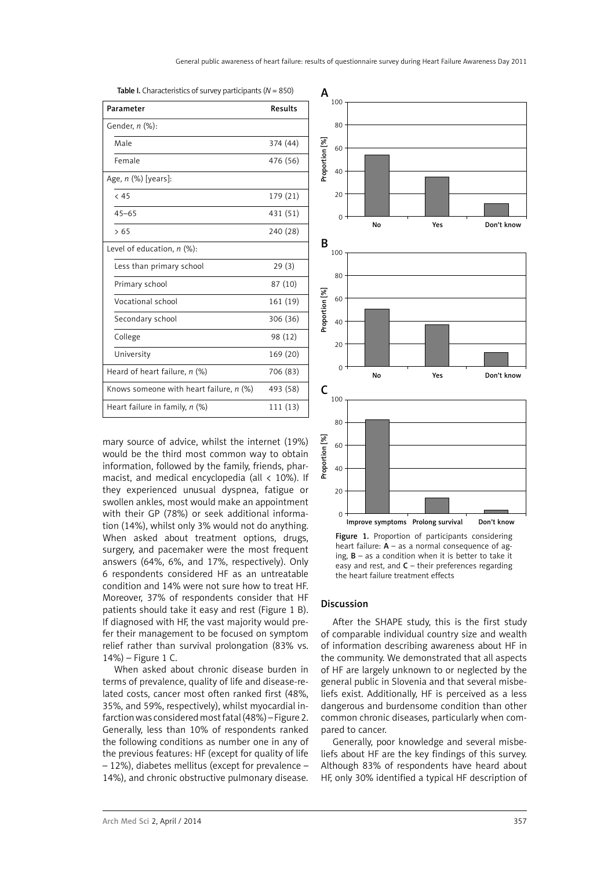Table I. Characteristics of survey participants (*N* = 850)

| Parameter                                 | <b>Results</b> |
|-------------------------------------------|----------------|
| Gender, <i>n</i> (%):                     |                |
| Male                                      | 374 (44)       |
| Female                                    | 476 (56)       |
| Age, $n$ (%) [years]:                     |                |
| < 45                                      | 179 (21)       |
| $45 - 65$                                 | 431 (51)       |
| > 65                                      | 240 (28)       |
| Level of education, $n$ (%):              |                |
| Less than primary school                  | 29(3)          |
| Primary school                            | 87 (10)        |
| Vocational school                         | 161 (19)       |
| Secondary school                          | 306 (36)       |
| College                                   | 98 (12)        |
| University                                | 169 (20)       |
| Heard of heart failure, $n$ (%)           | 706 (83)       |
| Knows someone with heart failure, $n$ (%) | 493 (58)       |
| Heart failure in family, $n$ (%)          | 111 (13)       |

mary source of advice, whilst the internet (19%) would be the third most common way to obtain information, followed by the family, friends, pharmacist, and medical encyclopedia (all  $\langle 10\% \rangle$ . If they experienced unusual dyspnea, fatigue or swollen ankles, most would make an appointment with their GP (78%) or seek additional information (14%), whilst only 3% would not do anything. When asked about treatment options, drugs, surgery, and pacemaker were the most frequent answers (64%, 6%, and 17%, respectively). Only 6 respondents considered HF as an untreatable condition and 14% were not sure how to treat HF. Moreover, 37% of respondents consider that HF patients should take it easy and rest (Figure 1 B). If diagnosed with HF, the vast majority would prefer their management to be focused on symptom relief rather than survival prolongation (83% vs. 14%) – Figure 1 C.

When asked about chronic disease burden in terms of prevalence, quality of life and disease-related costs, cancer most often ranked first (48%, 35%, and 59%, respectively), whilst myocardial infarction was considered most fatal (48%) – Figure 2. Generally, less than 10% of respondents ranked the following conditions as number one in any of the previous features: HF (except for quality of life – 12%), diabetes mellitus (except for prevalence – 14%), and chronic obstructive pulmonary disease.



Figure 1. Proportion of participants considering heart failure:  $A - as a normal consequence of a-g$ ing,  $B - as a$  condition when it is better to take it easy and rest, and  $C$  – their preferences regarding the heart failure treatment effects

### Discussion

After the SHAPE study, this is the first study of comparable individual country size and wealth of information describing awareness about HF in the community. We demonstrated that all aspects of HF are largely unknown to or neglected by the general public in Slovenia and that several misbeliefs exist. Additionally, HF is perceived as a less dangerous and burdensome condition than other common chronic diseases, particularly when compared to cancer.

Generally, poor knowledge and several misbeliefs about HF are the key findings of this survey. Although 83% of respondents have heard about HF, only 30% identified a typical HF description of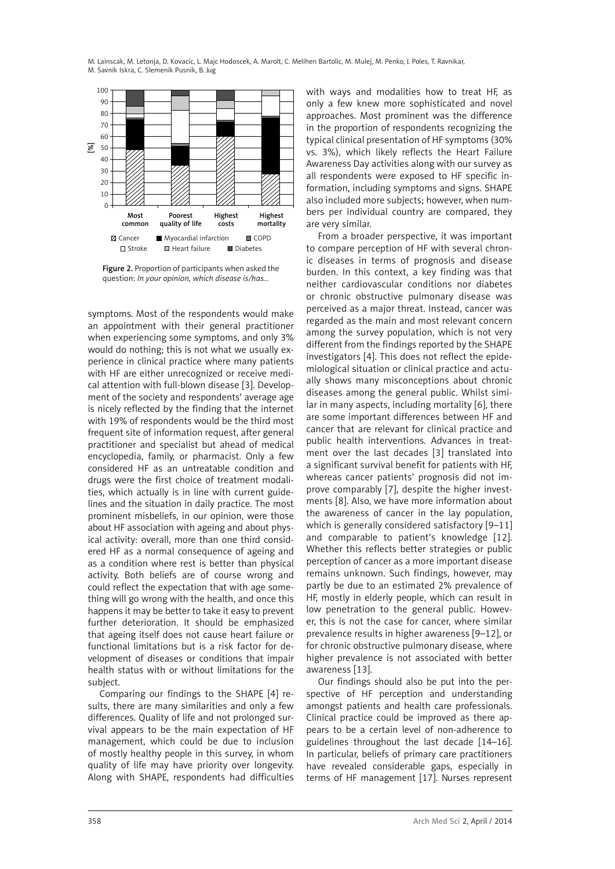M. Lainscak, M. Letonja, D. Kovacic, L. Majc Hodoscek, A. Marolt, C. Melihen Bartolic, M. Mulej, M. Penko, J. Poles, T. Ravnikar, M. Savnik Iskra, C. Slemenik Pusnik, B. Jug



Figure 2. Proportion of participants when asked the question: *In your opinion, which disease is/has…*

symptoms. Most of the respondents would make an appointment with their general practitioner when experiencing some symptoms, and only 3% would do nothing; this is not what we usually experience in clinical practice where many patients with HF are either unrecognized or receive medical attention with full-blown disease [3]. Development of the society and respondents' average age is nicely reflected by the finding that the internet with 19% of respondents would be the third most frequent site of information request, after general practitioner and specialist but ahead of medical encyclopedia, family, or pharmacist. Only a few considered HF as an untreatable condition and drugs were the first choice of treatment modalities, which actually is in line with current guidelines and the situation in daily practice. The most prominent misbeliefs, in our opinion, were those about HF association with ageing and about physical activity: overall, more than one third considered HF as a normal consequence of ageing and as a condition where rest is better than physical activity. Both beliefs are of course wrong and could reflect the expectation that with age something will go wrong with the health, and once this happens it may be better to take it easy to prevent further deterioration. It should be emphasized that ageing itself does not cause heart failure or functional limitations but is a risk factor for development of diseases or conditions that impair health status with or without limitations for the subject.

Comparing our findings to the SHAPE [4] results, there are many similarities and only a few differences. Quality of life and not prolonged survival appears to be the main expectation of HF management, which could be due to inclusion of mostly healthy people in this survey, in whom quality of life may have priority over longevity. Along with SHAPE, respondents had difficulties with ways and modalities how to treat HF, as only a few knew more sophisticated and novel approaches. Most prominent was the difference in the proportion of respondents recognizing the typical clinical presentation of HF symptoms (30% vs. 3%), which likely reflects the Heart Failure Awareness Day activities along with our survey as all respondents were exposed to HF specific information, including symptoms and signs. SHAPE also included more subjects; however, when numbers per individual country are compared, they are very similar.

From a broader perspective, it was important to compare perception of HF with several chronic diseases in terms of prognosis and disease burden. In this context, a key finding was that neither cardiovascular conditions nor diabetes or chronic obstructive pulmonary disease was perceived as a major threat. Instead, cancer was regarded as the main and most relevant concern among the survey population, which is not very different from the findings reported by the SHAPE investigators [4]. This does not reflect the epidemiological situation or clinical practice and actually shows many misconceptions about chronic diseases among the general public. Whilst similar in many aspects, including mortality [6], there are some important differences between HF and cancer that are relevant for clinical practice and public health interventions. Advances in treatment over the last decades [3] translated into a significant survival benefit for patients with HF, whereas cancer patients' prognosis did not improve comparably [7], despite the higher investments [8]. Also, we have more information about the awareness of cancer in the lay population, which is generally considered satisfactory [9-11] and comparable to patient's knowledge [12]. Whether this reflects better strategies or public perception of cancer as a more important disease remains unknown. Such findings, however, may partly be due to an estimated 2% prevalence of HF, mostly in elderly people, which can result in low penetration to the general public. However, this is not the case for cancer, where similar prevalence results in higher awareness [9–12], or for chronic obstructive pulmonary disease, where higher prevalence is not associated with better awareness [13].

Our findings should also be put into the perspective of HF perception and understanding amongst patients and health care professionals. Clinical practice could be improved as there appears to be a certain level of non-adherence to guidelines throughout the last decade [14–16]. In particular, beliefs of primary care practitioners have revealed considerable gaps, especially in terms of HF management [17]. Nurses represent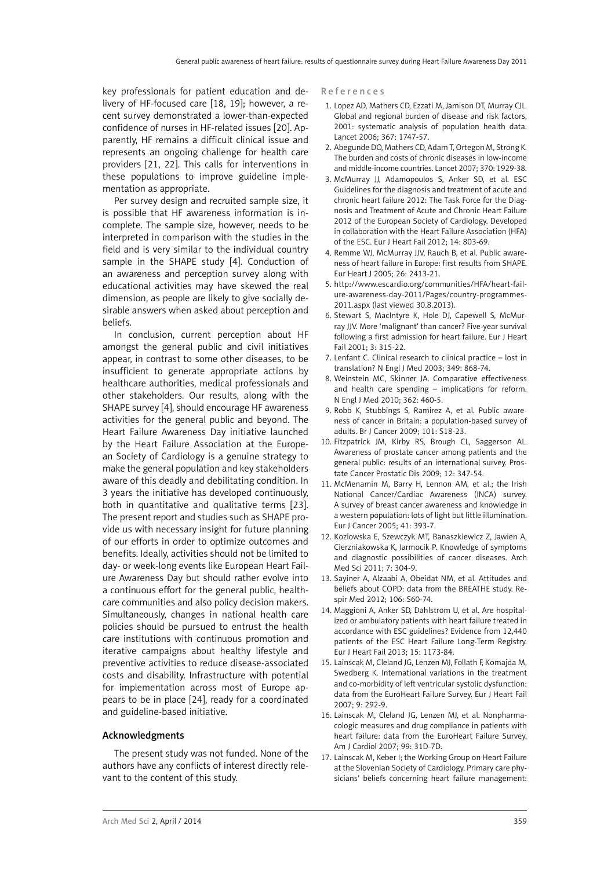key professionals for patient education and delivery of HF-focused care [18, 19]; however, a recent survey demonstrated a lower-than-expected confidence of nurses in HF-related issues [20]. Apparently, HF remains a difficult clinical issue and represents an ongoing challenge for health care providers [21, 22]. This calls for interventions in these populations to improve guideline implementation as appropriate.

Per survey design and recruited sample size, it is possible that HF awareness information is incomplete. The sample size, however, needs to be interpreted in comparison with the studies in the field and is very similar to the individual country sample in the SHAPE study [4]. Conduction of an awareness and perception survey along with educational activities may have skewed the real dimension, as people are likely to give socially desirable answers when asked about perception and beliefs.

In conclusion, current perception about HF amongst the general public and civil initiatives appear, in contrast to some other diseases, to be insufficient to generate appropriate actions by healthcare authorities, medical professionals and other stakeholders. Our results, along with the SHAPE survey [4], should encourage HF awareness activities for the general public and beyond. The Heart Failure Awareness Day initiative launched by the Heart Failure Association at the European Society of Cardiology is a genuine strategy to make the general population and key stakeholders aware of this deadly and debilitating condition. In 3 years the initiative has developed continuously, both in quantitative and qualitative terms [23]. The present report and studies such as SHAPE provide us with necessary insight for future planning of our efforts in order to optimize outcomes and benefits. Ideally, activities should not be limited to day- or week-long events like European Heart Failure Awareness Day but should rather evolve into a continuous effort for the general public, healthcare communities and also policy decision makers. Simultaneously, changes in national health care policies should be pursued to entrust the health care institutions with continuous promotion and iterative campaigns about healthy lifestyle and preventive activities to reduce disease-associated costs and disability. Infrastructure with potential for implementation across most of Europe appears to be in place [24], ready for a coordinated and guideline-based initiative.

#### Acknowledgments

The present study was not funded. None of the authors have any conflicts of interest directly relevant to the content of this study.

#### References

- 1. Lopez AD, Mathers CD, Ezzati M, Jamison DT, Murray CJL. Global and regional burden of disease and risk factors, 2001: systematic analysis of population health data. Lancet 2006; 367: 1747-57.
- 2. Abegunde DO, Mathers CD, Adam T, Ortegon M, Strong K. The burden and costs of chronic diseases in low-income and middle-income countries. Lancet 2007; 370: 1929-38.
- 3. McMurray JJ, Adamopoulos S, Anker SD, et al. ESC Guidelines for the diagnosis and treatment of acute and chronic heart failure 2012: The Task Force for the Diagnosis and Treatment of Acute and Chronic Heart Failure 2012 of the European Society of Cardiology. Developed in collaboration with the Heart Failure Association (HFA) of the ESC. Eur J Heart Fail 2012; 14: 803-69.
- 4. Remme WJ, McMurray JJV, Rauch B, et al. Public awareness of heart failure in Europe: first results from SHAPE. Eur Heart J 2005; 26: 2413-21.
- 5. http://www.escardio.org/communities/HFA/heart-failure-awareness-day-2011/Pages/country-programmes-2011.aspx (last viewed 30.8.2013).
- 6. Stewart S, MacIntyre K, Hole DJ, Capewell S, McMurray JJV. More 'malignant' than cancer? Five-year survival following a first admission for heart failure. Eur J Heart Fail 2001; 3: 315-22.
- 7. Lenfant C. Clinical research to clinical practice lost in translation? N Engl J Med 2003; 349: 868-74.
- 8. Weinstein MC, Skinner JA. Comparative effectiveness and health care spending – implications for reform. N Engl J Med 2010; 362: 460-5.
- 9. Robb K, Stubbings S, Ramirez A, et al. Public awareness of cancer in Britain: a population-based survey of adults. Br J Cancer 2009; 101: S18-23.
- 10. Fitzpatrick JM, Kirby RS, Brough CL, Saggerson AL. Awareness of prostate cancer among patients and the general public: results of an international survey. Prostate Cancer Prostatic Dis 2009; 12: 347-54.
- 11. McMenamin M, Barry H, Lennon AM, et al.; the Irish National Cancer/Cardiac Awareness (INCA) survey. A survey of breast cancer awareness and knowledge in a western population: lots of light but little illumination. Eur J Cancer 2005; 41: 393-7.
- 12. Kozlowska E, Szewczyk MT, Banaszkiewicz Z, Jawien A, Cierzniakowska K, Jarmocik P. Knowledge of symptoms and diagnostic possibilities of cancer diseases. Arch Med Sci 2011; 7: 304-9.
- 13. Sayiner A, Alzaabi A, Obeidat NM, et al. Attitudes and beliefs about COPD: data from the BREATHE study. Respir Med 2012; 106: S60-74.
- 14. Maggioni A, Anker SD, Dahlstrom U, et al. Are hospitalized or ambulatory patients with heart failure treated in accordance with ESC guidelines? Evidence from 12,440 patients of the ESC Heart Failure Long-Term Registry. Eur J Heart Fail 2013; 15: 1173-84.
- 15. Lainscak M, Cleland JG, Lenzen MJ, Follath F, Komajda M, Swedberg K. International variations in the treatment and co-morbidity of left ventricular systolic dysfunction: data from the EuroHeart Failure Survey. Eur J Heart Fail 2007; 9: 292-9.
- 16. Lainscak M, Cleland JG, Lenzen MJ, et al. Nonpharmacologic measures and drug compliance in patients with heart failure: data from the EuroHeart Failure Survey. Am J Cardiol 2007; 99: 31D-7D.
- 17. Lainscak M, Keber I; the Working Group on Heart Failure at the Slovenian Society of Cardiology. Primary care physicians' beliefs concerning heart failure management: